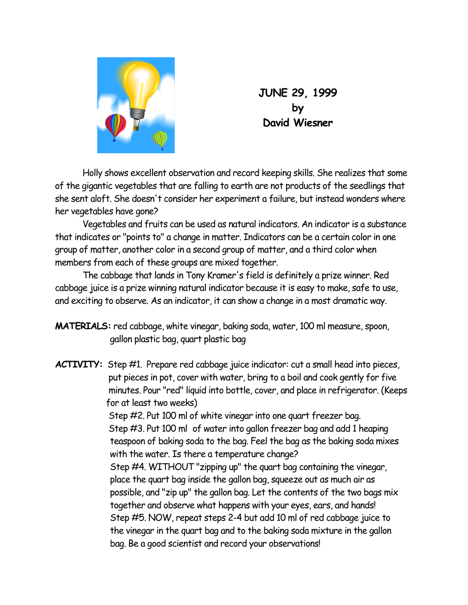

**JUNE 29, 1999 by David Wiesner** 

Holly shows excellent observation and record keeping skills. She realizes that some of the gigantic vegetables that are falling to earth are not products of the seedlings that she sent aloft. She doesn't consider her experiment a failure, but instead wonders where her vegetables have gone?

Vegetables and fruits can be used as natural indicators. An indicator is a substance that indicates or "points to" a change in matter. Indicators can be a certain color in one group of matter, another color in a second group of matter, and a third color when members from each of these groups are mixed together.

The cabbage that lands in Tony Kramer's field is definitely a prize winner. Red cabbage juice is a prize winning natural indicator because it is easy to make, safe to use, and exciting to observe. As an indicator, it can show a change in a most dramatic way.

**MATERIALS:** red cabbage, white vinegar, baking soda, water, 100 ml measure, spoon, gallon plastic bag, quart plastic bag

**ACTIVITY:** Step #1. Prepare red cabbage juice indicator: cut a small head into pieces, put pieces in pot, cover with water, bring to a boil and cook gently for five minutes. Pour "red" liquid into bottle, cover, and place in refrigerator. (Keeps for at least two weeks) Step #2. Put 100 ml of white vinegar into one quart freezer bag. Step #3. Put 100 ml of water into gallon freezer bag and add 1 heaping teaspoon of baking soda to the bag. Feel the bag as the baking soda mixes with the water. Is there a temperature change? Step #4. WITHOUT "zipping up" the quart bag containing the vinegar, place the quart bag inside the gallon bag, squeeze out as much air as possible, and "zip up" the gallon bag. Let the contents of the two bags mix together and observe what happens with your eyes, ears, and hands! Step #5. NOW, repeat steps 2-4 but add 10 ml of red cabbage juice to the vinegar in the quart bag and to the baking soda mixture in the gallon bag. Be a good scientist and record your observations!